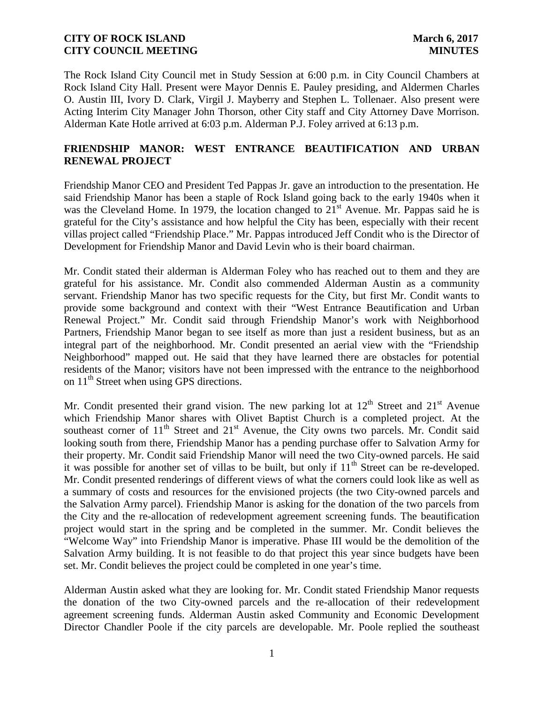The Rock Island City Council met in Study Session at 6:00 p.m. in City Council Chambers at Rock Island City Hall. Present were Mayor Dennis E. Pauley presiding, and Aldermen Charles O. Austin III, Ivory D. Clark, Virgil J. Mayberry and Stephen L. Tollenaer. Also present were Acting Interim City Manager John Thorson, other City staff and City Attorney Dave Morrison. Alderman Kate Hotle arrived at 6:03 p.m. Alderman P.J. Foley arrived at 6:13 p.m.

# **FRIENDSHIP MANOR: WEST ENTRANCE BEAUTIFICATION AND URBAN RENEWAL PROJECT**

Friendship Manor CEO and President Ted Pappas Jr. gave an introduction to the presentation. He said Friendship Manor has been a staple of Rock Island going back to the early 1940s when it was the Cleveland Home. In 1979, the location changed to  $21<sup>st</sup>$  Avenue. Mr. Pappas said he is grateful for the City's assistance and how helpful the City has been, especially with their recent villas project called "Friendship Place." Mr. Pappas introduced Jeff Condit who is the Director of Development for Friendship Manor and David Levin who is their board chairman.

Mr. Condit stated their alderman is Alderman Foley who has reached out to them and they are grateful for his assistance. Mr. Condit also commended Alderman Austin as a community servant. Friendship Manor has two specific requests for the City, but first Mr. Condit wants to provide some background and context with their "West Entrance Beautification and Urban Renewal Project." Mr. Condit said through Friendship Manor's work with Neighborhood Partners, Friendship Manor began to see itself as more than just a resident business, but as an integral part of the neighborhood. Mr. Condit presented an aerial view with the "Friendship Neighborhood" mapped out. He said that they have learned there are obstacles for potential residents of the Manor; visitors have not been impressed with the entrance to the neighborhood on  $11<sup>th</sup>$  Street when using GPS directions.

Mr. Condit presented their grand vision. The new parking lot at  $12<sup>th</sup>$  Street and  $21<sup>st</sup>$  Avenue which Friendship Manor shares with Olivet Baptist Church is a completed project. At the southeast corner of 11<sup>th</sup> Street and 21<sup>st</sup> Avenue, the City owns two parcels. Mr. Condit said looking south from there, Friendship Manor has a pending purchase offer to Salvation Army for their property. Mr. Condit said Friendship Manor will need the two City-owned parcels. He said it was possible for another set of villas to be built, but only if  $11<sup>th</sup>$  Street can be re-developed. Mr. Condit presented renderings of different views of what the corners could look like as well as a summary of costs and resources for the envisioned projects (the two City-owned parcels and the Salvation Army parcel). Friendship Manor is asking for the donation of the two parcels from the City and the re-allocation of redevelopment agreement screening funds. The beautification project would start in the spring and be completed in the summer. Mr. Condit believes the "Welcome Way" into Friendship Manor is imperative. Phase III would be the demolition of the Salvation Army building. It is not feasible to do that project this year since budgets have been set. Mr. Condit believes the project could be completed in one year's time.

Alderman Austin asked what they are looking for. Mr. Condit stated Friendship Manor requests the donation of the two City-owned parcels and the re-allocation of their redevelopment agreement screening funds. Alderman Austin asked Community and Economic Development Director Chandler Poole if the city parcels are developable. Mr. Poole replied the southeast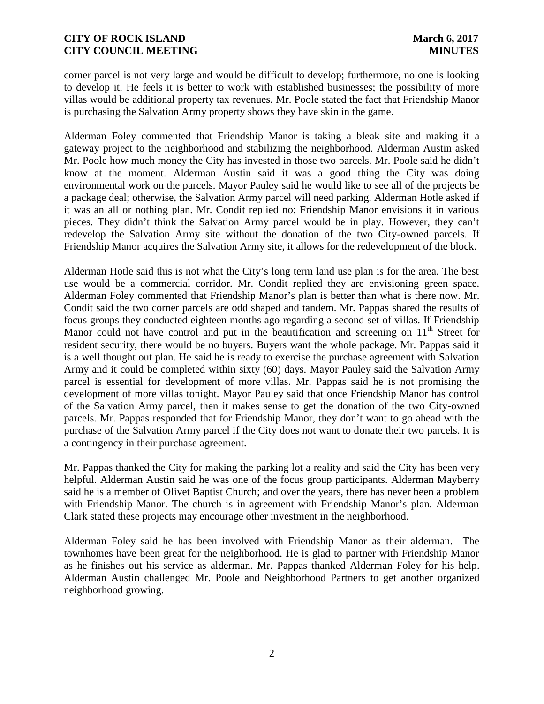corner parcel is not very large and would be difficult to develop; furthermore, no one is looking to develop it. He feels it is better to work with established businesses; the possibility of more villas would be additional property tax revenues. Mr. Poole stated the fact that Friendship Manor is purchasing the Salvation Army property shows they have skin in the game.

Alderman Foley commented that Friendship Manor is taking a bleak site and making it a gateway project to the neighborhood and stabilizing the neighborhood. Alderman Austin asked Mr. Poole how much money the City has invested in those two parcels. Mr. Poole said he didn't know at the moment. Alderman Austin said it was a good thing the City was doing environmental work on the parcels. Mayor Pauley said he would like to see all of the projects be a package deal; otherwise, the Salvation Army parcel will need parking. Alderman Hotle asked if it was an all or nothing plan. Mr. Condit replied no; Friendship Manor envisions it in various pieces. They didn't think the Salvation Army parcel would be in play. However, they can't redevelop the Salvation Army site without the donation of the two City-owned parcels. If Friendship Manor acquires the Salvation Army site, it allows for the redevelopment of the block.

Alderman Hotle said this is not what the City's long term land use plan is for the area. The best use would be a commercial corridor. Mr. Condit replied they are envisioning green space. Alderman Foley commented that Friendship Manor's plan is better than what is there now. Mr. Condit said the two corner parcels are odd shaped and tandem. Mr. Pappas shared the results of focus groups they conducted eighteen months ago regarding a second set of villas. If Friendship Manor could not have control and put in the beautification and screening on  $11<sup>th</sup>$  Street for resident security, there would be no buyers. Buyers want the whole package. Mr. Pappas said it is a well thought out plan. He said he is ready to exercise the purchase agreement with Salvation Army and it could be completed within sixty (60) days. Mayor Pauley said the Salvation Army parcel is essential for development of more villas. Mr. Pappas said he is not promising the development of more villas tonight. Mayor Pauley said that once Friendship Manor has control of the Salvation Army parcel, then it makes sense to get the donation of the two City-owned parcels. Mr. Pappas responded that for Friendship Manor, they don't want to go ahead with the purchase of the Salvation Army parcel if the City does not want to donate their two parcels. It is a contingency in their purchase agreement.

Mr. Pappas thanked the City for making the parking lot a reality and said the City has been very helpful. Alderman Austin said he was one of the focus group participants. Alderman Mayberry said he is a member of Olivet Baptist Church; and over the years, there has never been a problem with Friendship Manor. The church is in agreement with Friendship Manor's plan. Alderman Clark stated these projects may encourage other investment in the neighborhood.

Alderman Foley said he has been involved with Friendship Manor as their alderman. The townhomes have been great for the neighborhood. He is glad to partner with Friendship Manor as he finishes out his service as alderman. Mr. Pappas thanked Alderman Foley for his help. Alderman Austin challenged Mr. Poole and Neighborhood Partners to get another organized neighborhood growing.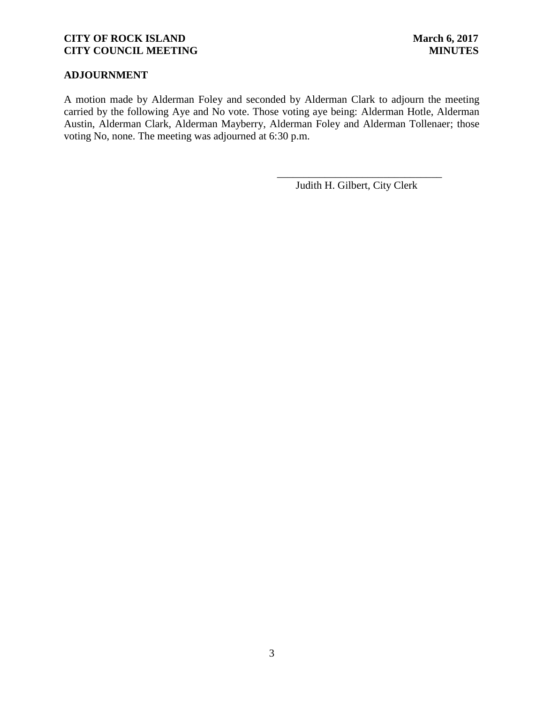# **ADJOURNMENT**

A motion made by Alderman Foley and seconded by Alderman Clark to adjourn the meeting carried by the following Aye and No vote. Those voting aye being: Alderman Hotle, Alderman Austin, Alderman Clark, Alderman Mayberry, Alderman Foley and Alderman Tollenaer; those voting No, none. The meeting was adjourned at 6:30 p.m.

Judith H. Gilbert, City Clerk

\_\_\_\_\_\_\_\_\_\_\_\_\_\_\_\_\_\_\_\_\_\_\_\_\_\_\_\_\_\_\_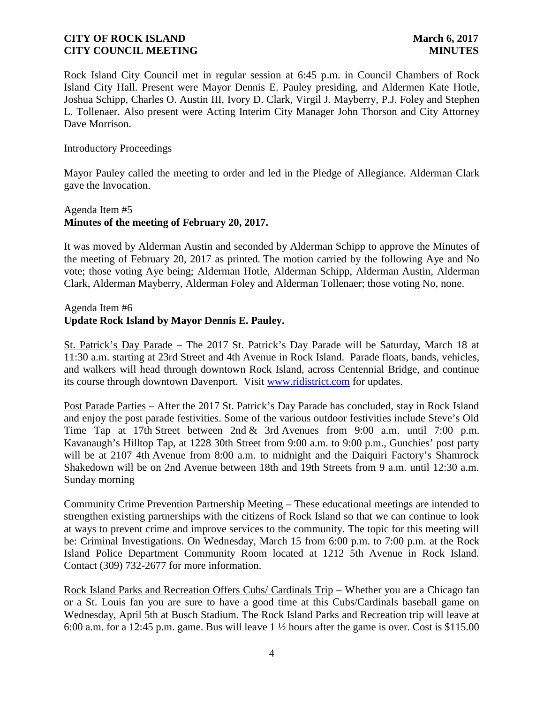Rock Island City Council met in regular session at 6:45 p.m. in Council Chambers of Rock Island City Hall. Present were Mayor Dennis E. Pauley presiding, and Aldermen Kate Hotle, Joshua Schipp, Charles O. Austin III, Ivory D. Clark, Virgil J. Mayberry, P.J. Foley and Stephen L. Tollenaer. Also present were Acting Interim City Manager John Thorson and City Attorney Dave Morrison.

Introductory Proceedings

Mayor Pauley called the meeting to order and led in the Pledge of Allegiance. Alderman Clark gave the Invocation.

# Agenda Item #5 **Minutes of the meeting of February 20, 2017.**

It was moved by Alderman Austin and seconded by Alderman Schipp to approve the Minutes of the meeting of February 20, 2017 as printed. The motion carried by the following Aye and No vote; those voting Aye being; Alderman Hotle, Alderman Schipp, Alderman Austin, Alderman Clark, Alderman Mayberry, Alderman Foley and Alderman Tollenaer; those voting No, none.

## Agenda Item #6 **Update Rock Island by Mayor Dennis E. Pauley.**

St. Patrick's Day Parade – The 2017 St. Patrick's Day Parade will be Saturday, March 18 at 11:30 a.m. starting at 23rd Street and 4th Avenue in Rock Island. Parade floats, bands, vehicles, and walkers will head through downtown Rock Island, across Centennial Bridge, and continue its course through downtown Davenport. Visit www.ridistrict.com for updates.

Post Parade Parties – After the 2017 St. Patrick's Day Parade has concluded, stay in Rock Island and enjoy the post parade festivities. Some of the various outdoor festivities include Steve's Old Time Tap at 17th Street between 2nd & 3rd Avenues from 9:00 a.m. until 7:00 p.m. Kavanaugh's Hilltop Tap, at 1228 30th Street from 9:00 a.m. to 9:00 p.m., Gunchies' post party will be at 2107 4th Avenue from 8:00 a.m. to midnight and the Daiquiri Factory's Shamrock Shakedown will be on 2nd Avenue between 18th and 19th Streets from 9 a.m. until 12:30 a.m. Sunday morning

Community Crime Prevention Partnership Meeting – These educational meetings are intended to strengthen existing partnerships with the citizens of Rock Island so that we can continue to look at ways to prevent crime and improve services to the community. The topic for this meeting will be: Criminal Investigations. On Wednesday, March 15 from 6:00 p.m. to 7:00 p.m. at the Rock Island Police Department Community Room located at 1212 5th Avenue in Rock Island. Contact (309) 732-2677 for more information.

Rock Island Parks and Recreation Offers Cubs/ Cardinals Trip – Whether you are a Chicago fan or a St. Louis fan you are sure to have a good time at this Cubs/Cardinals baseball game on Wednesday, April 5th at Busch Stadium. The Rock Island Parks and Recreation trip will leave at 6:00 a.m. for a 12:45 p.m. game. Bus will leave 1 ½ hours after the game is over. Cost is \$115.00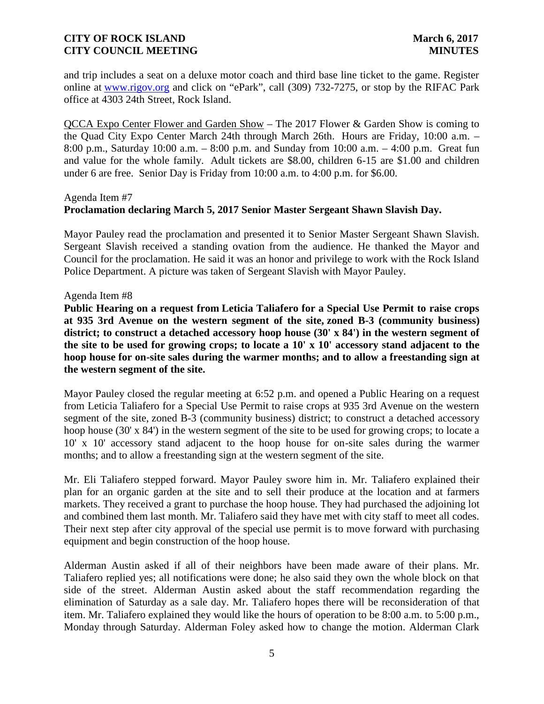and trip includes a seat on a deluxe motor coach and third base line ticket to the game. Register online at www.rigov.org and click on "ePark", call (309) 732-7275, or stop by the RIFAC Park office at 4303 24th Street, Rock Island.

QCCA Expo Center Flower and Garden Show – The 2017 Flower & Garden Show is coming to the Quad City Expo Center March 24th through March 26th. Hours are Friday, 10:00 a.m. – 8:00 p.m., Saturday 10:00 a.m. – 8:00 p.m. and Sunday from 10:00 a.m. – 4:00 p.m. Great fun and value for the whole family. Adult tickets are \$8.00, children 6-15 are \$1.00 and children under 6 are free. Senior Day is Friday from 10:00 a.m. to 4:00 p.m. for \$6.00.

### Agenda Item #7

### **Proclamation declaring March 5, 2017 Senior Master Sergeant Shawn Slavish Day.**

Mayor Pauley read the proclamation and presented it to Senior Master Sergeant Shawn Slavish. Sergeant Slavish received a standing ovation from the audience. He thanked the Mayor and Council for the proclamation. He said it was an honor and privilege to work with the Rock Island Police Department. A picture was taken of Sergeant Slavish with Mayor Pauley.

### Agenda Item #8

**Public Hearing on a request from Leticia Taliafero for a Special Use Permit to raise crops at 935 3rd Avenue on the western segment of the site, zoned B-3 (community business) district; to construct a detached accessory hoop house (30' x 84') in the western segment of the site to be used for growing crops; to locate a 10' x 10' accessory stand adjacent to the hoop house for on-site sales during the warmer months; and to allow a freestanding sign at the western segment of the site.**

Mayor Pauley closed the regular meeting at 6:52 p.m. and opened a Public Hearing on a request from Leticia Taliafero for a Special Use Permit to raise crops at 935 3rd Avenue on the western segment of the site, zoned B-3 (community business) district; to construct a detached accessory hoop house (30' x 84') in the western segment of the site to be used for growing crops; to locate a 10' x 10' accessory stand adjacent to the hoop house for on-site sales during the warmer months; and to allow a freestanding sign at the western segment of the site.

Mr. Eli Taliafero stepped forward. Mayor Pauley swore him in. Mr. Taliafero explained their plan for an organic garden at the site and to sell their produce at the location and at farmers markets. They received a grant to purchase the hoop house. They had purchased the adjoining lot and combined them last month. Mr. Taliafero said they have met with city staff to meet all codes. Their next step after city approval of the special use permit is to move forward with purchasing equipment and begin construction of the hoop house.

Alderman Austin asked if all of their neighbors have been made aware of their plans. Mr. Taliafero replied yes; all notifications were done; he also said they own the whole block on that side of the street. Alderman Austin asked about the staff recommendation regarding the elimination of Saturday as a sale day. Mr. Taliafero hopes there will be reconsideration of that item. Mr. Taliafero explained they would like the hours of operation to be 8:00 a.m. to 5:00 p.m., Monday through Saturday. Alderman Foley asked how to change the motion. Alderman Clark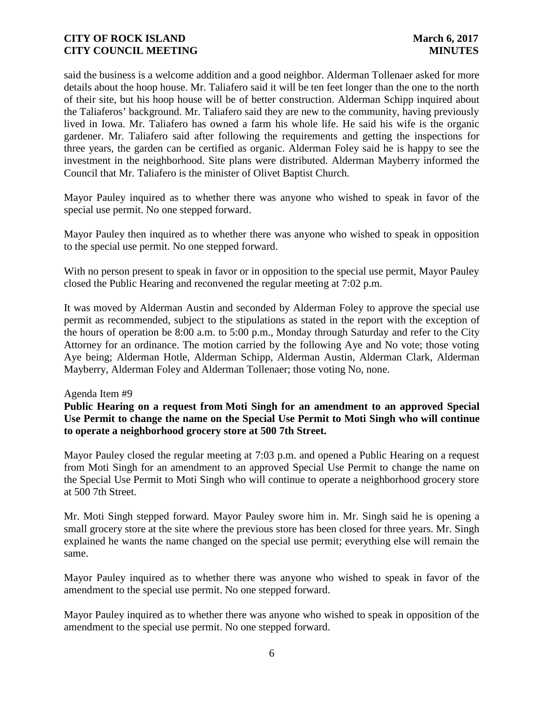said the business is a welcome addition and a good neighbor. Alderman Tollenaer asked for more details about the hoop house. Mr. Taliafero said it will be ten feet longer than the one to the north of their site, but his hoop house will be of better construction. Alderman Schipp inquired about the Taliaferos' background. Mr. Taliafero said they are new to the community, having previously lived in Iowa. Mr. Taliafero has owned a farm his whole life. He said his wife is the organic gardener. Mr. Taliafero said after following the requirements and getting the inspections for three years, the garden can be certified as organic. Alderman Foley said he is happy to see the investment in the neighborhood. Site plans were distributed. Alderman Mayberry informed the Council that Mr. Taliafero is the minister of Olivet Baptist Church.

Mayor Pauley inquired as to whether there was anyone who wished to speak in favor of the special use permit. No one stepped forward.

Mayor Pauley then inquired as to whether there was anyone who wished to speak in opposition to the special use permit. No one stepped forward.

With no person present to speak in favor or in opposition to the special use permit, Mayor Pauley closed the Public Hearing and reconvened the regular meeting at 7:02 p.m.

It was moved by Alderman Austin and seconded by Alderman Foley to approve the special use permit as recommended, subject to the stipulations as stated in the report with the exception of the hours of operation be 8:00 a.m. to 5:00 p.m., Monday through Saturday and refer to the City Attorney for an ordinance. The motion carried by the following Aye and No vote; those voting Aye being; Alderman Hotle, Alderman Schipp, Alderman Austin, Alderman Clark, Alderman Mayberry, Alderman Foley and Alderman Tollenaer; those voting No, none.

### Agenda Item #9

**Public Hearing on a request from Moti Singh for an amendment to an approved Special Use Permit to change the name on the Special Use Permit to Moti Singh who will continue to operate a neighborhood grocery store at 500 7th Street.**

Mayor Pauley closed the regular meeting at 7:03 p.m. and opened a Public Hearing on a request from Moti Singh for an amendment to an approved Special Use Permit to change the name on the Special Use Permit to Moti Singh who will continue to operate a neighborhood grocery store at 500 7th Street.

Mr. Moti Singh stepped forward. Mayor Pauley swore him in. Mr. Singh said he is opening a small grocery store at the site where the previous store has been closed for three years. Mr. Singh explained he wants the name changed on the special use permit; everything else will remain the same.

Mayor Pauley inquired as to whether there was anyone who wished to speak in favor of the amendment to the special use permit. No one stepped forward.

Mayor Pauley inquired as to whether there was anyone who wished to speak in opposition of the amendment to the special use permit. No one stepped forward.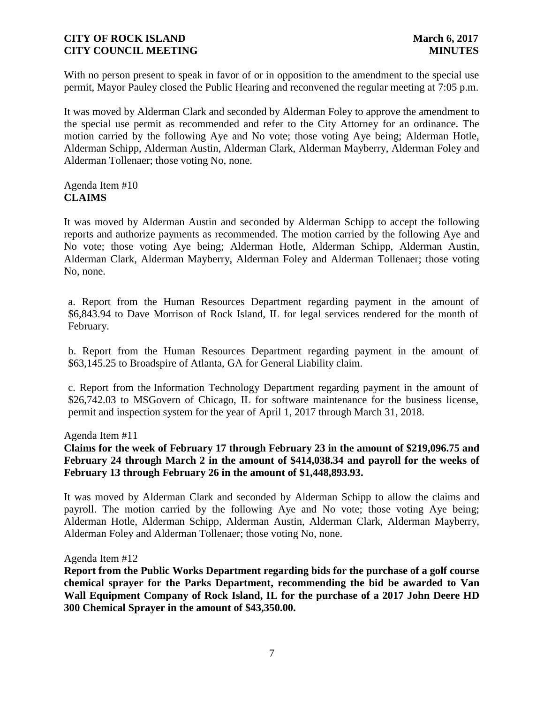With no person present to speak in favor of or in opposition to the amendment to the special use permit, Mayor Pauley closed the Public Hearing and reconvened the regular meeting at 7:05 p.m.

It was moved by Alderman Clark and seconded by Alderman Foley to approve the amendment to the special use permit as recommended and refer to the City Attorney for an ordinance. The motion carried by the following Aye and No vote; those voting Aye being; Alderman Hotle, Alderman Schipp, Alderman Austin, Alderman Clark, Alderman Mayberry, Alderman Foley and Alderman Tollenaer; those voting No, none.

# Agenda Item #10 **CLAIMS**

It was moved by Alderman Austin and seconded by Alderman Schipp to accept the following reports and authorize payments as recommended. The motion carried by the following Aye and No vote; those voting Aye being; Alderman Hotle, Alderman Schipp, Alderman Austin, Alderman Clark, Alderman Mayberry, Alderman Foley and Alderman Tollenaer; those voting No, none.

a. Report from the Human Resources Department regarding payment in the amount of \$6,843.94 to Dave Morrison of Rock Island, IL for legal services rendered for the month of February.

b. Report from the Human Resources Department regarding payment in the amount of \$63,145.25 to Broadspire of Atlanta, GA for General Liability claim.

c. Report from the Information Technology Department regarding payment in the amount of \$26,742.03 to MSGovern of Chicago, IL for software maintenance for the business license, permit and inspection system for the year of April 1, 2017 through March 31, 2018.

Agenda Item #11

**Claims for the week of February 17 through February 23 in the amount of \$219,096.75 and February 24 through March 2 in the amount of \$414,038.34 and payroll for the weeks of February 13 through February 26 in the amount of \$1,448,893.93.**

It was moved by Alderman Clark and seconded by Alderman Schipp to allow the claims and payroll. The motion carried by the following Aye and No vote; those voting Aye being; Alderman Hotle, Alderman Schipp, Alderman Austin, Alderman Clark, Alderman Mayberry, Alderman Foley and Alderman Tollenaer; those voting No, none.

### Agenda Item #12

**Report from the Public Works Department regarding bids for the purchase of a golf course chemical sprayer for the Parks Department, recommending the bid be awarded to Van Wall Equipment Company of Rock Island, IL for the purchase of a 2017 John Deere HD 300 Chemical Sprayer in the amount of \$43,350.00.**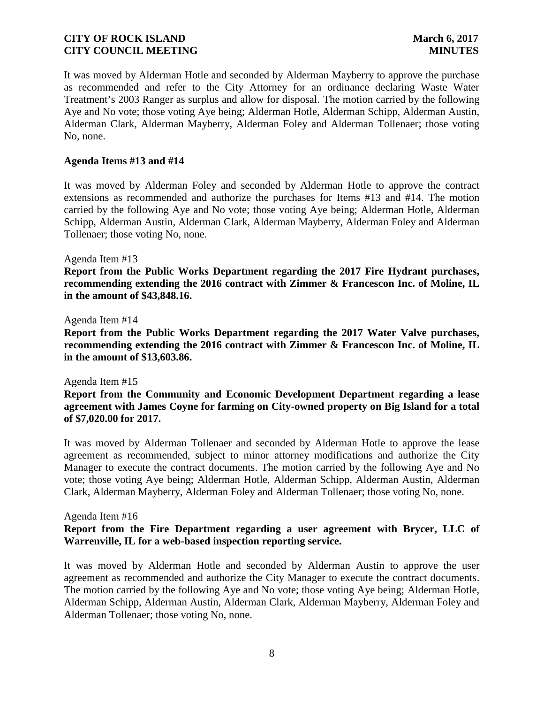It was moved by Alderman Hotle and seconded by Alderman Mayberry to approve the purchase as recommended and refer to the City Attorney for an ordinance declaring Waste Water Treatment's 2003 Ranger as surplus and allow for disposal. The motion carried by the following Aye and No vote; those voting Aye being; Alderman Hotle, Alderman Schipp, Alderman Austin, Alderman Clark, Alderman Mayberry, Alderman Foley and Alderman Tollenaer; those voting No, none.

### **Agenda Items #13 and #14**

It was moved by Alderman Foley and seconded by Alderman Hotle to approve the contract extensions as recommended and authorize the purchases for Items #13 and #14. The motion carried by the following Aye and No vote; those voting Aye being; Alderman Hotle, Alderman Schipp, Alderman Austin, Alderman Clark, Alderman Mayberry, Alderman Foley and Alderman Tollenaer; those voting No, none.

### Agenda Item #13

**Report from the Public Works Department regarding the 2017 Fire Hydrant purchases, recommending extending the 2016 contract with Zimmer & Francescon Inc. of Moline, IL in the amount of \$43,848.16.**

### Agenda Item #14

**Report from the Public Works Department regarding the 2017 Water Valve purchases, recommending extending the 2016 contract with Zimmer & Francescon Inc. of Moline, IL in the amount of \$13,603.86.**

Agenda Item #15

**Report from the Community and Economic Development Department regarding a lease agreement with James Coyne for farming on City-owned property on Big Island for a total of \$7,020.00 for 2017.**

It was moved by Alderman Tollenaer and seconded by Alderman Hotle to approve the lease agreement as recommended, subject to minor attorney modifications and authorize the City Manager to execute the contract documents. The motion carried by the following Aye and No vote; those voting Aye being; Alderman Hotle, Alderman Schipp, Alderman Austin, Alderman Clark, Alderman Mayberry, Alderman Foley and Alderman Tollenaer; those voting No, none.

### Agenda Item #16

## **Report from the Fire Department regarding a user agreement with Brycer, LLC of Warrenville, IL for a web-based inspection reporting service.**

It was moved by Alderman Hotle and seconded by Alderman Austin to approve the user agreement as recommended and authorize the City Manager to execute the contract documents. The motion carried by the following Aye and No vote; those voting Aye being; Alderman Hotle, Alderman Schipp, Alderman Austin, Alderman Clark, Alderman Mayberry, Alderman Foley and Alderman Tollenaer; those voting No, none.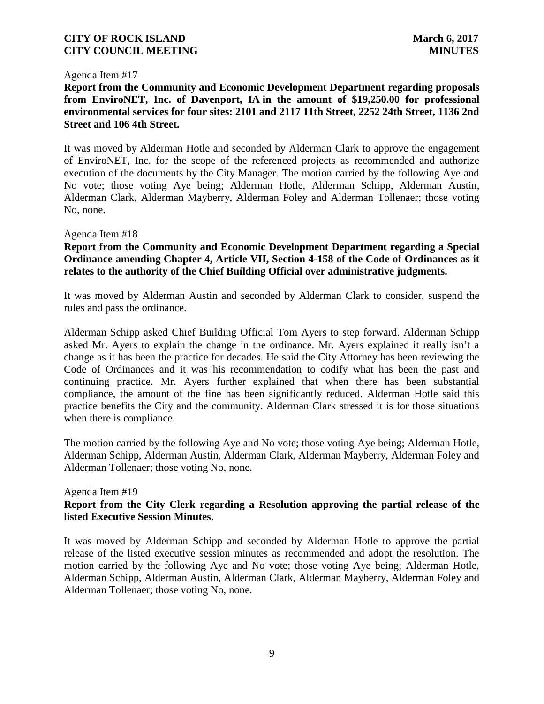### Agenda Item #17

**Report from the Community and Economic Development Department regarding proposals from EnviroNET, Inc. of Davenport, IA in the amount of \$19,250.00 for professional environmental services for four sites: 2101 and 2117 11th Street, 2252 24th Street, 1136 2nd Street and 106 4th Street.**

It was moved by Alderman Hotle and seconded by Alderman Clark to approve the engagement of EnviroNET, Inc. for the scope of the referenced projects as recommended and authorize execution of the documents by the City Manager. The motion carried by the following Aye and No vote; those voting Aye being; Alderman Hotle, Alderman Schipp, Alderman Austin, Alderman Clark, Alderman Mayberry, Alderman Foley and Alderman Tollenaer; those voting No, none.

### Agenda Item #18

## **Report from the Community and Economic Development Department regarding a Special Ordinance amending Chapter 4, Article VII, Section 4-158 of the Code of Ordinances as it relates to the authority of the Chief Building Official over administrative judgments.**

It was moved by Alderman Austin and seconded by Alderman Clark to consider, suspend the rules and pass the ordinance.

Alderman Schipp asked Chief Building Official Tom Ayers to step forward. Alderman Schipp asked Mr. Ayers to explain the change in the ordinance. Mr. Ayers explained it really isn't a change as it has been the practice for decades. He said the City Attorney has been reviewing the Code of Ordinances and it was his recommendation to codify what has been the past and continuing practice. Mr. Ayers further explained that when there has been substantial compliance, the amount of the fine has been significantly reduced. Alderman Hotle said this practice benefits the City and the community. Alderman Clark stressed it is for those situations when there is compliance.

The motion carried by the following Aye and No vote; those voting Aye being; Alderman Hotle, Alderman Schipp, Alderman Austin, Alderman Clark, Alderman Mayberry, Alderman Foley and Alderman Tollenaer; those voting No, none.

### Agenda Item #19

## **Report from the City Clerk regarding a Resolution approving the partial release of the listed Executive Session Minutes.**

It was moved by Alderman Schipp and seconded by Alderman Hotle to approve the partial release of the listed executive session minutes as recommended and adopt the resolution. The motion carried by the following Aye and No vote; those voting Aye being; Alderman Hotle, Alderman Schipp, Alderman Austin, Alderman Clark, Alderman Mayberry, Alderman Foley and Alderman Tollenaer; those voting No, none.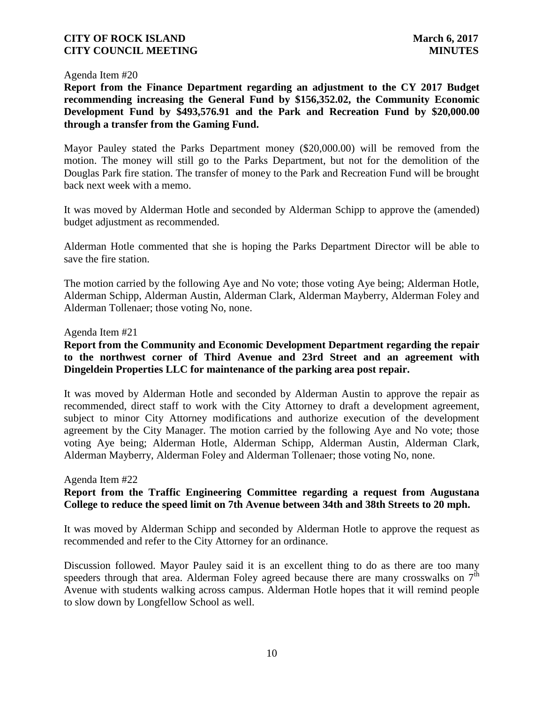Agenda Item #20

**Report from the Finance Department regarding an adjustment to the CY 2017 Budget recommending increasing the General Fund by \$156,352.02, the Community Economic Development Fund by \$493,576.91 and the Park and Recreation Fund by \$20,000.00 through a transfer from the Gaming Fund.**

Mayor Pauley stated the Parks Department money (\$20,000.00) will be removed from the motion. The money will still go to the Parks Department, but not for the demolition of the Douglas Park fire station. The transfer of money to the Park and Recreation Fund will be brought back next week with a memo.

It was moved by Alderman Hotle and seconded by Alderman Schipp to approve the (amended) budget adjustment as recommended.

Alderman Hotle commented that she is hoping the Parks Department Director will be able to save the fire station.

The motion carried by the following Aye and No vote; those voting Aye being; Alderman Hotle, Alderman Schipp, Alderman Austin, Alderman Clark, Alderman Mayberry, Alderman Foley and Alderman Tollenaer; those voting No, none.

### Agenda Item #21

# **Report from the Community and Economic Development Department regarding the repair to the northwest corner of Third Avenue and 23rd Street and an agreement with Dingeldein Properties LLC for maintenance of the parking area post repair.**

It was moved by Alderman Hotle and seconded by Alderman Austin to approve the repair as recommended, direct staff to work with the City Attorney to draft a development agreement, subject to minor City Attorney modifications and authorize execution of the development agreement by the City Manager. The motion carried by the following Aye and No vote; those voting Aye being; Alderman Hotle, Alderman Schipp, Alderman Austin, Alderman Clark, Alderman Mayberry, Alderman Foley and Alderman Tollenaer; those voting No, none.

### Agenda Item #22

# **Report from the Traffic Engineering Committee regarding a request from Augustana College to reduce the speed limit on 7th Avenue between 34th and 38th Streets to 20 mph.**

It was moved by Alderman Schipp and seconded by Alderman Hotle to approve the request as recommended and refer to the City Attorney for an ordinance.

Discussion followed. Mayor Pauley said it is an excellent thing to do as there are too many speeders through that area. Alderman Foley agreed because there are many crosswalks on  $7<sup>th</sup>$ Avenue with students walking across campus. Alderman Hotle hopes that it will remind people to slow down by Longfellow School as well.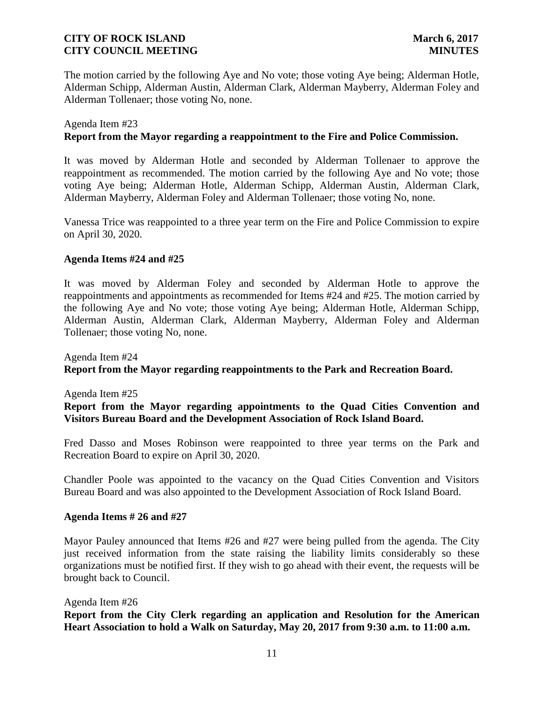The motion carried by the following Aye and No vote; those voting Aye being; Alderman Hotle, Alderman Schipp, Alderman Austin, Alderman Clark, Alderman Mayberry, Alderman Foley and Alderman Tollenaer; those voting No, none.

### Agenda Item #23

### **Report from the Mayor regarding a reappointment to the Fire and Police Commission.**

It was moved by Alderman Hotle and seconded by Alderman Tollenaer to approve the reappointment as recommended. The motion carried by the following Aye and No vote; those voting Aye being; Alderman Hotle, Alderman Schipp, Alderman Austin, Alderman Clark, Alderman Mayberry, Alderman Foley and Alderman Tollenaer; those voting No, none.

Vanessa Trice was reappointed to a three year term on the Fire and Police Commission to expire on April 30, 2020.

### **Agenda Items #24 and #25**

It was moved by Alderman Foley and seconded by Alderman Hotle to approve the reappointments and appointments as recommended for Items #24 and #25. The motion carried by the following Aye and No vote; those voting Aye being; Alderman Hotle, Alderman Schipp, Alderman Austin, Alderman Clark, Alderman Mayberry, Alderman Foley and Alderman Tollenaer; those voting No, none.

Agenda Item #24 **Report from the Mayor regarding reappointments to the Park and Recreation Board.**

Agenda Item #25 **Report from the Mayor regarding appointments to the Quad Cities Convention and Visitors Bureau Board and the Development Association of Rock Island Board.**

Fred Dasso and Moses Robinson were reappointed to three year terms on the Park and Recreation Board to expire on April 30, 2020.

Chandler Poole was appointed to the vacancy on the Quad Cities Convention and Visitors Bureau Board and was also appointed to the Development Association of Rock Island Board.

### **Agenda Items # 26 and #27**

Mayor Pauley announced that Items #26 and #27 were being pulled from the agenda. The City just received information from the state raising the liability limits considerably so these organizations must be notified first. If they wish to go ahead with their event, the requests will be brought back to Council.

### Agenda Item #26

**Report from the City Clerk regarding an application and Resolution for the American Heart Association to hold a Walk on Saturday, May 20, 2017 from 9:30 a.m. to 11:00 a.m.**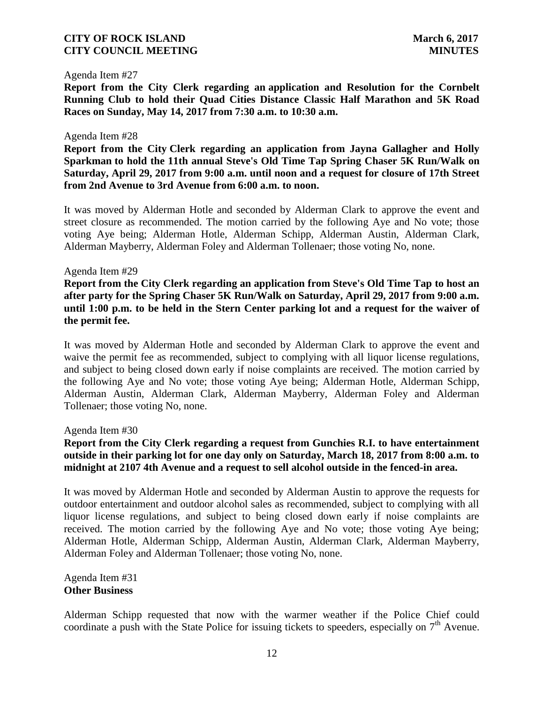### Agenda Item #27

**Report from the City Clerk regarding an application and Resolution for the Cornbelt Running Club to hold their Quad Cities Distance Classic Half Marathon and 5K Road Races on Sunday, May 14, 2017 from 7:30 a.m. to 10:30 a.m.**

#### Agenda Item #28

**Report from the City Clerk regarding an application from Jayna Gallagher and Holly Sparkman to hold the 11th annual Steve's Old Time Tap Spring Chaser 5K Run/Walk on Saturday, April 29, 2017 from 9:00 a.m. until noon and a request for closure of 17th Street from 2nd Avenue to 3rd Avenue from 6:00 a.m. to noon.**

It was moved by Alderman Hotle and seconded by Alderman Clark to approve the event and street closure as recommended. The motion carried by the following Aye and No vote; those voting Aye being; Alderman Hotle, Alderman Schipp, Alderman Austin, Alderman Clark, Alderman Mayberry, Alderman Foley and Alderman Tollenaer; those voting No, none.

#### Agenda Item #29

**Report from the City Clerk regarding an application from Steve's Old Time Tap to host an after party for the Spring Chaser 5K Run/Walk on Saturday, April 29, 2017 from 9:00 a.m. until 1:00 p.m. to be held in the Stern Center parking lot and a request for the waiver of the permit fee.**

It was moved by Alderman Hotle and seconded by Alderman Clark to approve the event and waive the permit fee as recommended, subject to complying with all liquor license regulations, and subject to being closed down early if noise complaints are received. The motion carried by the following Aye and No vote; those voting Aye being; Alderman Hotle, Alderman Schipp, Alderman Austin, Alderman Clark, Alderman Mayberry, Alderman Foley and Alderman Tollenaer; those voting No, none.

Agenda Item #30

# **Report from the City Clerk regarding a request from Gunchies R.I. to have entertainment outside in their parking lot for one day only on Saturday, March 18, 2017 from 8:00 a.m. to midnight at 2107 4th Avenue and a request to sell alcohol outside in the fenced-in area.**

It was moved by Alderman Hotle and seconded by Alderman Austin to approve the requests for outdoor entertainment and outdoor alcohol sales as recommended, subject to complying with all liquor license regulations, and subject to being closed down early if noise complaints are received. The motion carried by the following Aye and No vote; those voting Aye being; Alderman Hotle, Alderman Schipp, Alderman Austin, Alderman Clark, Alderman Mayberry, Alderman Foley and Alderman Tollenaer; those voting No, none.

Agenda Item #31 **Other Business**

Alderman Schipp requested that now with the warmer weather if the Police Chief could coordinate a push with the State Police for issuing tickets to speeders, especially on  $7<sup>th</sup>$  Avenue.